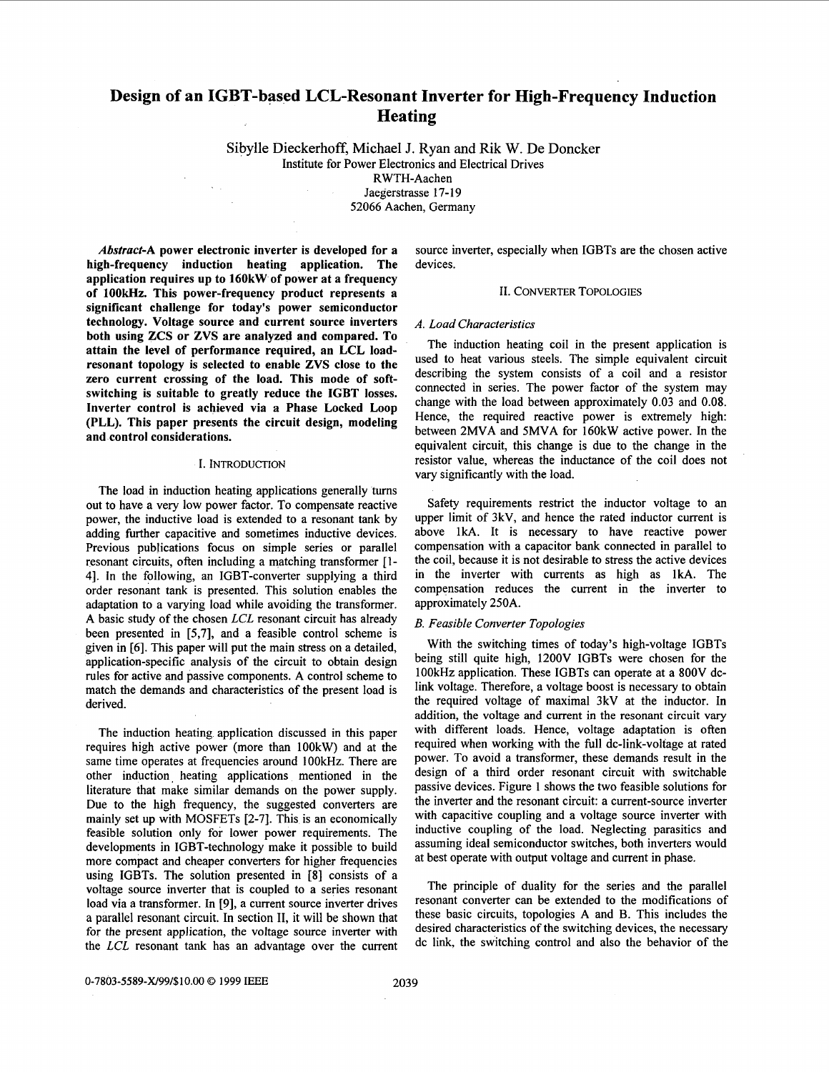# **Design of an IGBT-based LCL-Resonant Inverter for High-Frequency Induction Heating**

Sibylle Dieckerhoff, Michael J. Ryan and Rik W. De Doncker Institute for Power Electronics and Electrical Drives RWTH-Aachen Jaegerstrasse 17-19 52066 Aachen, Germany

*Abstract-A* **power electronic inverter is developed for a high-frequency induction heating application. The application requires up to 160kW of power at a frequency of 1OOkHz. This power-frequency product represents a significant challenge for today's power semiconductor technology. Voltage source and current source inverters both using ZCS or ZVS are analyzed and compared. To attain the level of performance required, an LCL loadresonant topology is selected to enable ZVS close to the zero current crossing of the load. This mode of softswitching is suitable to greatly reduce the IGBT losses. Inverter control is achieved via a Phase Locked Loop (PLL). This paper presents the circuit design, modeling and control considerations.** 

#### **I.** INTRODUCTION

The load in induction heating applications generally turns out to have a very low power factor. To compensate reactive power, the inductive load is extended to a resonant tank by adding further capacitive and sometimes inductive devices. Previous publications focus on simple series or parallel resonant circuits, often including a matching transformer [ 1- 41. In the following, an IGBT-converter supplying a third order resonant tank is presented. This solution enables the adaptation to a varying load while avoiding the transformer. A basic study of the chosen *LCL* resonant circuit has already been presented in [5,7], and a feasible control scheme is given in *[6].* This paper will put the main stress on a detailed, application-specific analysis of the circuit to obtain design rules for active and passive components. A control scheme to match the demands and characteristics of the present load is derived.

The induction heating application discussed in this paper requires high active power (more than 100kW) and at the same time operates at frequencies around 100kHz. There are other induction. heating applications mentioned in the literature that make similar demands on the power supply. Due to the high frequency, the suggested converters are mainly set up with MOSFETs [2-71. This is an economically feasible solution only for lower power requirements. The developments in IGBT-technology make it possible to build more compact and cheaper converters for higher frequencies using IGBTs. The solution presented in [SI consists of a voltage source inverter that is coupled to a series resonant load via a transformer. In [9], a current source inverter drives a parallel resonant circuit. In section 11, it will be shown that for the present application, the voltage source inverter with the *LCL* resonant tank has an advantage over the current source inverter, especially when IGBTs are the chosen active devices.

## 11. CONVERTER TOPOLOGIES

#### *A. Load Characteristics*

The induction heating coil in the present application is used to heat various steels. The simple equivalent circuit describing the system consists of a coil and a resistor connected in series. The power factor of the system may change with the load between approximately 0.03 and 0.08. Hence, the required reactive power is extremely high: between 2MVA and SMVA for 160kW active power. In the equivalent circuit, this change is due to the change in the resistor value, whereas the inductance of the coil does not vary significantly with the load.

Safety requirements restrict the inductor voltage to an upper limit of 3kV, and hence the rated inductor current is above **1kA.** It is necessary to have reactive power compensation with a capacitor bank connected in parallel to the coil, because it is not desirable to stress the active devices in the inverter with currents as high as 1kA. The compensation reduces the current in the inverter to approximately 250A.

### *B. Feasible Converter Topologies*

With the switching times of today's high-voltage IGBTs being still quite high, 1200V IGBTs were chosen for the lOOkHz application. These IGBTs can operate at a 8OOV dclink voltage. Therefore, a voltage boost is necessary to obtain the required voltage of maximal 3kV at the inductor. In addition, the voltage and current in the resonant circuit vary with different loads. Hence, voltage adaptation is often required when working with the full dc-link-voltage at rated power. To avoid a transformer, these demands result in the design of a third order resonant circuit with switchable passive devices. [Figure 1](#page-1-0) shows the two feasible solutions for the inverter and the resonant circuit: a current-source inverter with capacitive coupling and a voltage source inverter with inductive coupling of the load. Neglecting parasitics and assuming ideal semiconductor switches, both inverters would at best operate with output voltage and current in phase.

The principle of duality for the series and the parallel resonant converter can be extended to the modifications of these basic circuits, topologies A and B. This includes the desired characteristics of the switching devices, the necessary dc link, the switching control and also the behavior of the

**0-7803-5589-X/99/\$10.00** *0* **1999** IEEE 2039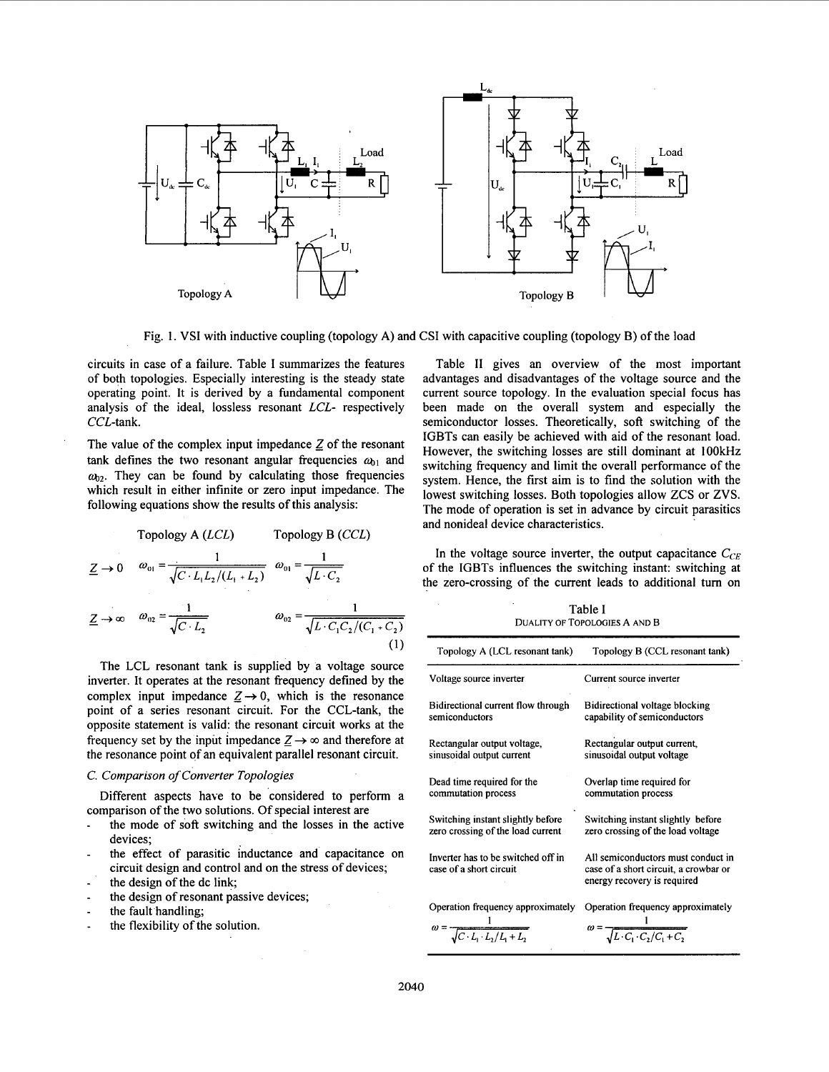<span id="page-1-0"></span>

Fig. **1. VSI** with inductive coupling (topology **A)** and CSI with capacitive coupling (topology B) of the load

circuits in case of a failure. Table **I** summarizes the features of both topologies. Especially interesting is the steady state operating point. It is derived by a fundamental component analysis of the ideal, lossless resonant LCL- respectively CCL-tank.

The value of the complex input impedance  $Z$  of the resonant tank defines the two resonant angular frequencies  $a_{01}$  and  $\omega_{02}$ . They can be found by calculating those frequencies which result in either infinite or zero input impedance. The following equations show the results **of** this analysis:

\n tank defines the two resonant angular frequencies 
$$
\omega_{01}
$$
 and  $\omega_{02}$ . They can be found by calculating those frequencies which result in either infinite or zero input impedance. The following equations show the results of this analysis:\n

\n\n Topology A (LCL) Topology B (CCL)\n

\n\n $\underline{Z} \rightarrow 0$   $\omega_{01} = \frac{1}{\sqrt{C \cdot L_1 L_2 / (L_1 + L_2)}}$   $\omega_{01} = \frac{1}{\sqrt{L \cdot C_2}}$ \n

\n\n $\underline{Z} \rightarrow \infty$   $\omega_{02} = \frac{1}{\sqrt{C \cdot L_2}}$   $\omega_{02} = \frac{1}{\sqrt{L \cdot C_1 C_2 / (C_1 + C_2)}}$ \n

\n\n (1)\n

The LCL resonant tank is supplied by a voltage source inverter. It operates at the resonant frequency defined by the complex input impedance  $Z \rightarrow 0$ , which is the resonance point of a series resonant circuit. For the CCL-tank, the opposite statement is valid: the resonant circuit works at the frequency set by the input impedance  $Z \rightarrow \infty$  and therefore at the resonance point of an equivalent parallel resonant circuit.

#### *C. Comparison of Converter Topologies*

comparison of the two solutions. Of special interest are Different aspects have to be considered to perform a

- the mode of **soft** switching and the losses in the active devices;
- the effect of parasitic inductance and capacitance on circuit design and control and on the stress **of** devices; -
- the design of the dc link; -
- the design of resonant passive devices; -
- the fault handling;
- the flexibility of the solution. -

[Table](#page-2-0) **I1** gives an overview of the most important advantages and disadvantages of the voltage source and the current source topology. In the evaluation special focus has been made on the overall system and especially the semiconductor losses. Theoretically, soft switching of the IGBTs can easily be achieved with aid **of** the resonant load. However, the switching losses are still dominant at 1OOkHz switching frequency and limit the overall performance of the system. Hence, the first aim is to find the solution with the lowest switching losses. Both topologies allow ZCS or **ZVS.**  The mode of operation is set in advance by circuit parasitics and nonideal device characteristics.

In the voltage source inverter, the output capacitance  $C_{CE}$ of the IGBTs influences the switching instant: switching at the zero-crossing of the current leads to additional turn on

Table I

| таріе і<br>DUALITY OF TOPOLOGIES A AND B                      |                                                                                                            |  |
|---------------------------------------------------------------|------------------------------------------------------------------------------------------------------------|--|
| Topology A (LCL resonant tank)                                | Topology B (CCL resonant tank)                                                                             |  |
| Voltage source inverter                                       | Current source inverter                                                                                    |  |
| Bidirectional current flow through                            | Bidirectional voltage blocking                                                                             |  |
| semiconductors                                                | capability of semiconductors                                                                               |  |
| Rectangular output voltage,                                   | Rectangular output current,                                                                                |  |
| sinusoidal output current                                     | sinusoidal output voltage                                                                                  |  |
| Dead time required for the                                    | Overlap time required for                                                                                  |  |
| commutation process                                           | commutation process                                                                                        |  |
| Switching instant slightly before                             | Switching instant slightly before                                                                          |  |
| zero crossing of the load current                             | zero crossing of the load voltage                                                                          |  |
| Inverter has to be switched off in<br>case of a short circuit | All semiconductors must conduct in<br>case of a short circuit, a crowbar or<br>energy recovery is required |  |
| Operation frequency approximately                             | Operation frequency approximately                                                                          |  |
| $\omega = \frac{1}{\sqrt{C \cdot L \cdot L_2/L_1 + L_2}}$     | $\omega = \frac{1}{\sqrt{L \cdot C_1 \cdot C_2 / C_1 + C_2}}$                                              |  |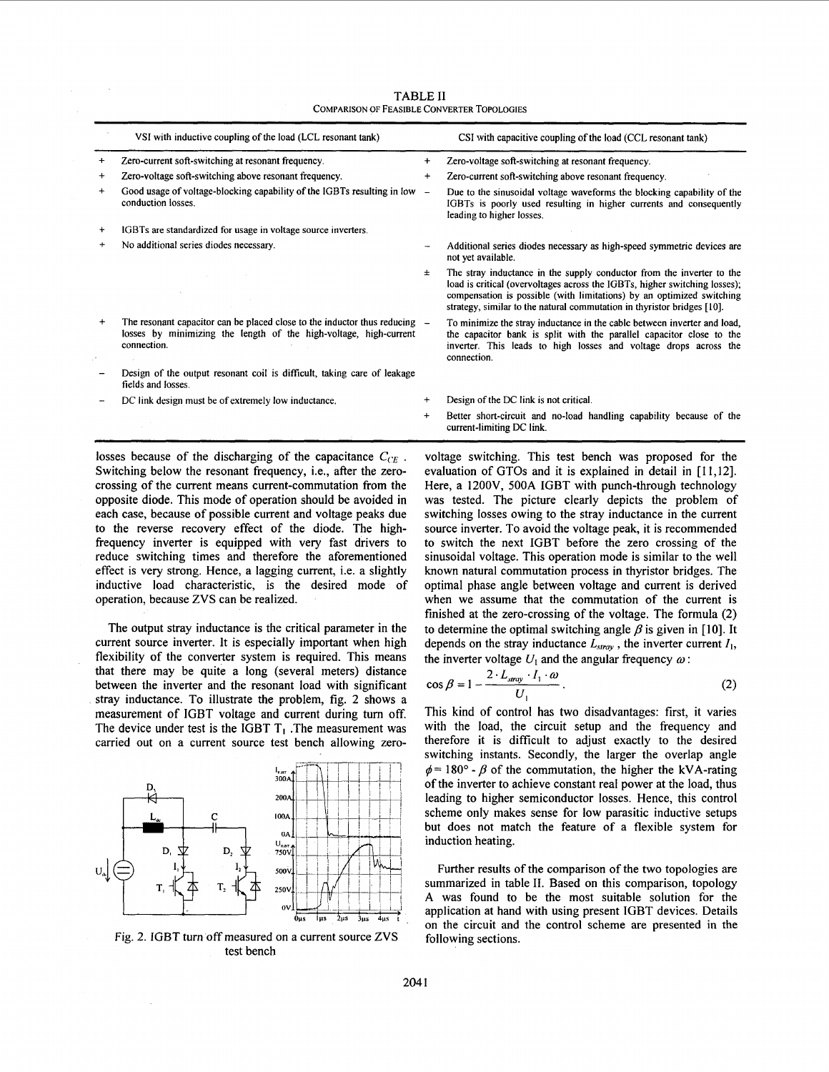<span id="page-2-0"></span>**VSI** with inductive coupling of the load (LCL resonant tank) CSI with capacitive coupling of the load (CCL resonant tank) ~ ~ ~~ + Zero-current soft-switching at resonant frequency. + Zero-voltage soft-switching at resonant frequency + Zero-voltage soft-switching above resonant frequency. + Zero-current soft-switching above resonant frequency + Good usage of voltage-blocking capability of the IGBTs resulting in low - Due to the sinusoidal voltage waveforms the blocking capability of the conduction losses. IGBTs is poorly used resulting in higher currents and consequently ט<br>|+ IC<br>|+ N leading to higher losses IGBTs are standardized for usage in voltage source inverters + No additional series diodes necessary. Additional series diodes necessary **as** high-speed symmetric devices are not yet available. The stray inductance in the supply conductor from the inverter to the  $\pm$ load is critical (overvoltages across the IGBTs, higher switching losses); compensation is possible (with limitations) by an optimized switching strategy, similar to the natural commutation in thyristor bridges [IO]. + The resonant capacitor can be placed close to the inductor **thus** reducing To minimize the stray inductance in the cable between inverter and load, losses by minimizing the length of the high-voltage, high-current the capacitor bank is split with the parallel capacitor close to the connection. inverter. This leads to high losses and voltage drops across the connection. Design of the output resonant coil is difficult, taking care of leakage fields and losses. DC link design must be of extremely low inductance. + Design of the DC link is not critical. Better short-circuit and no-load handling capability because of the + current-limiting DC link.

TABLE **I1**  COMPARISON OF FEASIBLE CONVERTER TOPOLOGIES

losses because of the discharging of the capacitance  $C_{CE}$ . Switching below the resonant frequency, i.e., after the zerocrossing of the current means current-commutation from the opposite diode. This mode of operation should be avoided in each case, because of possible current and voltage peaks due to the reverse recovery effect of the diode. The highfrequency inverter is equipped with very fast drivers to reduce switching times and therefore the aforementioned effect is very strong. Hence, a lagging current, i.e. a slightly inductive load characteristic, is the desired mode of operation, because ZVS can be realized.

The output stray inductance is the critical parameter in the current source inverter. It is especially important when high flexibility of the converter system is required. This means that there may be quite a long (several meters) distance between the inverter and the resonant load with significant stray inductance. To illustrate the problem, fig. **2** shows a measurement of IGBT voltage and current during turn off. The device under test is the IGBT  $T_1$ . The measurement was carried out on a current source test bench allowing zero-





voltage switching. This test bench was proposed for the evaluation of GTOs and it is explained in detail in [11,12]. Here, a 12OOV, 500A IGBT with punch-through technology was tested. The picture clearly depicts the problem of switching losses owing to the stray inductance in the current source inverter. To avoid the voltage peak, it is recommended to switch the next IGBT before the zero crossing of the sinusoidal voltage. This operation mode is similar to the well known natural commutation process in thyristor bridges. The optimal phase angle between voltage and current is derived when we assume that the commutation of the current is finished at the zero-crossing of the voltage. The formula (2) to determine the optimal switching angle  $\beta$  is given in [10]. It depends on the stray inductance  $\bar{L}_{stray}$ , the inverter current  $I_1$ , the inverter voltage  $U_1$  and the angular frequency  $\omega$ :

$$
\cos \beta = 1 - \frac{2 \cdot L_{\text{array}} \cdot I_1 \cdot \omega}{U_1} \,. \tag{2}
$$

This kind **of** control has two disadvantages: first, it varies with the load, the circuit setup and the frequency and therefore it is difficult to adjust exactly to the desired switching instants. Secondly, the larger the overlap angle  $\phi = 180^\circ$  -  $\beta$  of the commutation, the higher the kVA-rating of the inverter to achieve constant real power at the load, thus leading to higher semiconductor losses. Hence, this control scheme only makes sense for low parasitic inductive setups but does not match the feature of a flexible system for induction heating.

Further results of the comparison of the two topologies are summarized in table **11.** Based on this comparison, topology A was found to be the most suitable solution for the application at hand with using present IGBT devices. Details on the circuit and the control scheme are presented in the following sections.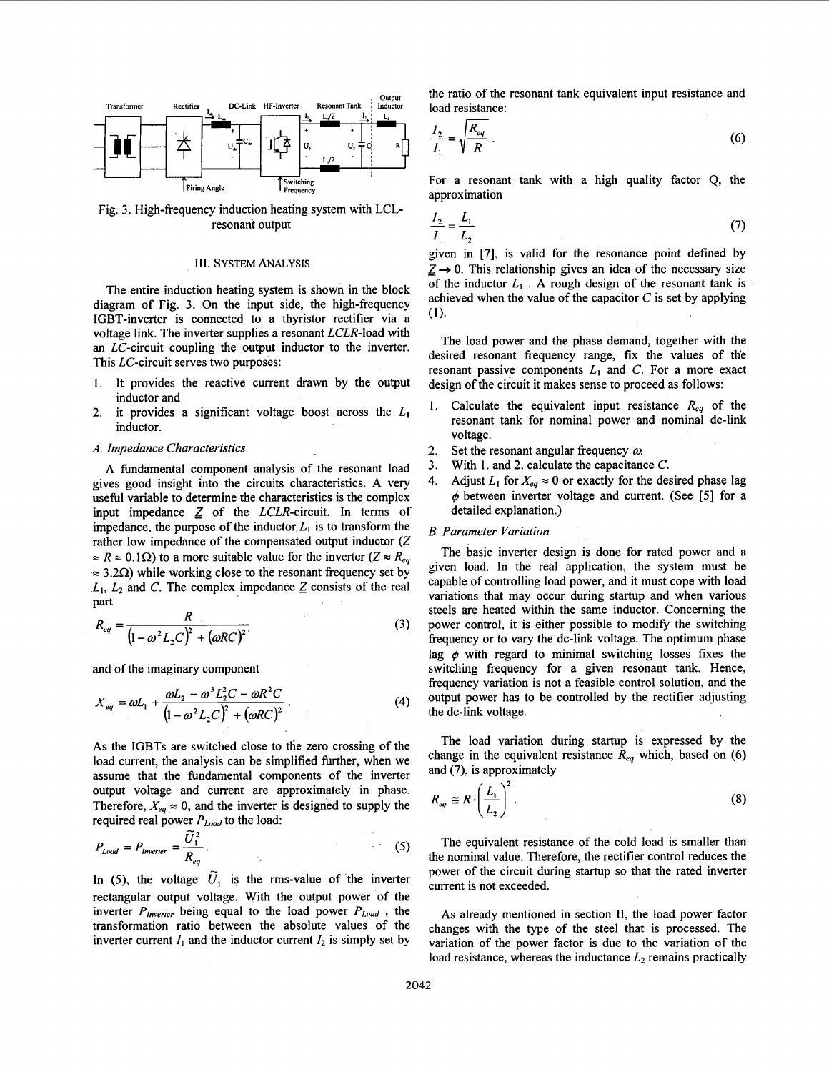

Fig. 3. High-frequency induction heating system with LCLresonant output

#### **111.** SYSTEM ANALYSIS

The entire induction heating system is shown in the block diagram of Fig. 3. On the input side, the high-frequency IGBT-inverter is connected to a thyristor rectifier via a voltage link. The inverter supplies a resonant LCLR-load with an LC-circuit coupling the output inductor to the inverter. This LC-circuit serves two purposes:

- 1. It provides the reactive current drawn by the output inductor and
- 2. it provides a significant voltage boost across the  $L_1$ inductor.

### A. Impedance Characteristics

A fundamental component analysis of the resonant load gives good insight into the circuits characteristics. A very useful variable to determine the characteristics is the complex input impedance  $Z$  of the  $LCLR$ -circuit. In terms of impedance, the purpose of the inductor  $L_1$  is to transform the rather low impedance of the compensated output inductor (Z)  $\approx R \approx 0.1\Omega$ ) to a more suitable value for the inverter ( $Z \approx R_{eq}$  $\approx 3.2\Omega$ ) while working close to the resonant frequency set by  $L_1$ ,  $L_2$  and C. The complex impedance  $Z$  consists of the real  $part$ 

$$
R_{eq} = \frac{R}{(1 - \omega^2 L_2 C)^2 + (\omega RC)^2}
$$
 (3)

and of the imaginary component

$$
X_{eq} = \omega L_1 + \frac{\omega L_2 - \omega^3 L_2^2 C - \omega R^2 C}{\left(1 - \omega^2 L_2 C\right)^2 + \left(\omega RC\right)^2}.
$$
 (4)

As the IGBTs are switched close to the zero crossing of the load current, the analysis can be simplified further, when we assume that .the fundamental components of the inverter output voltage and current are approximately in phase. Therefore,  $X_{eq} \approx 0$ , and the inverter is designed to supply the required real power  $P_{Load}$  to the load:

$$
P_{\text{Local}} = P_{\text{Inverter}} = \frac{\tilde{U}_1^2}{R_{eq}}.
$$
 (5)

In (5), the voltage  $\tilde{U}_1$  is the rms-value of the inverter rectangular output voltage. With the output power of the inverter  $P_{\text{lower}}$  being equal to the load power  $P_{\text{load}}$ , the transformation ratio between the absolute values of the inverter current  $I_1$  and the inductor current  $I_2$  is simply set by the ratio of the resonant tank equivalent input resistance and load resistance:

$$
\frac{I_2}{I_1} = \sqrt{\frac{R_{eq}}{R}} \tag{6}
$$

For a resonant tank with a high quality factor Q, the approximation

$$
\frac{I_2}{I_1} = \frac{L_1}{L_2} \tag{7}
$$

given in [7], is valid for the resonance point defined by  $Z \rightarrow 0$ . This relationship gives an idea of the necessary size of the inductor  $L_1$ . A rough design of the resonant tank is achieved when the value of the capacitor  $C$  is set by applying **(1).** 

The load power and the phase demand, together with the desired resonant frequency range, fix the values of the resonant passive components  $L_1$  and C. For a more exact design of the circuit it makes sense to proceed as follows:

- 1. Calculate the equivalent input resistance  $R_{eq}$  of the resonant tank for nominal power and nominal dc-link voltage.
- Set the resonant angular frequency  $\omega$ . **2.**
- With **1.** and 2. calculate the capacitance C. **3.**
- Adjust  $L_1$  for  $X_{eq} \approx 0$  or exactly for the desired phase lag  $\phi$  between inverter voltage and current. (See [5] for a detailed explanation.) **4.**

## *B.* Parameter Variation

The basic inverter design is done for rated power and a given load. In the real application, the system must be capable of controlling load power, and it must cope with load variations that may occur during startup and when various steels are heated within the same inductor. Concerning the power control, it is either possible to modify the switching frequency or to vary the dc-link voltage. The optimum phase lag  $\phi$  with regard to minimal switching losses fixes the switching frequency for a given resonant tank. Hence, frequency variation is not a feasible control solution, and the output power has to be controlled by the rectifier adjusting the dc-link voltage.

The load variation during startup is expressed by the change in the equivalent resistance  $R_{eq}$  which, based on (6) and (7), is approximately

$$
R_{eq} \cong R \cdot \left(\frac{L_1}{L_2}\right)^2. \tag{8}
$$

The equivalent resistance of the cold load is smaller than the nominal value. Therefore, the rectifier control reduces the power of the circuit during startup so that the rated inverter current is not exceeded.

As already mentioned in section **11,** the load power factor changes with the type of the steel that is processed. The variation of the power factor is due to the variation of the load resistance, whereas the inductance  $L_2$  remains practically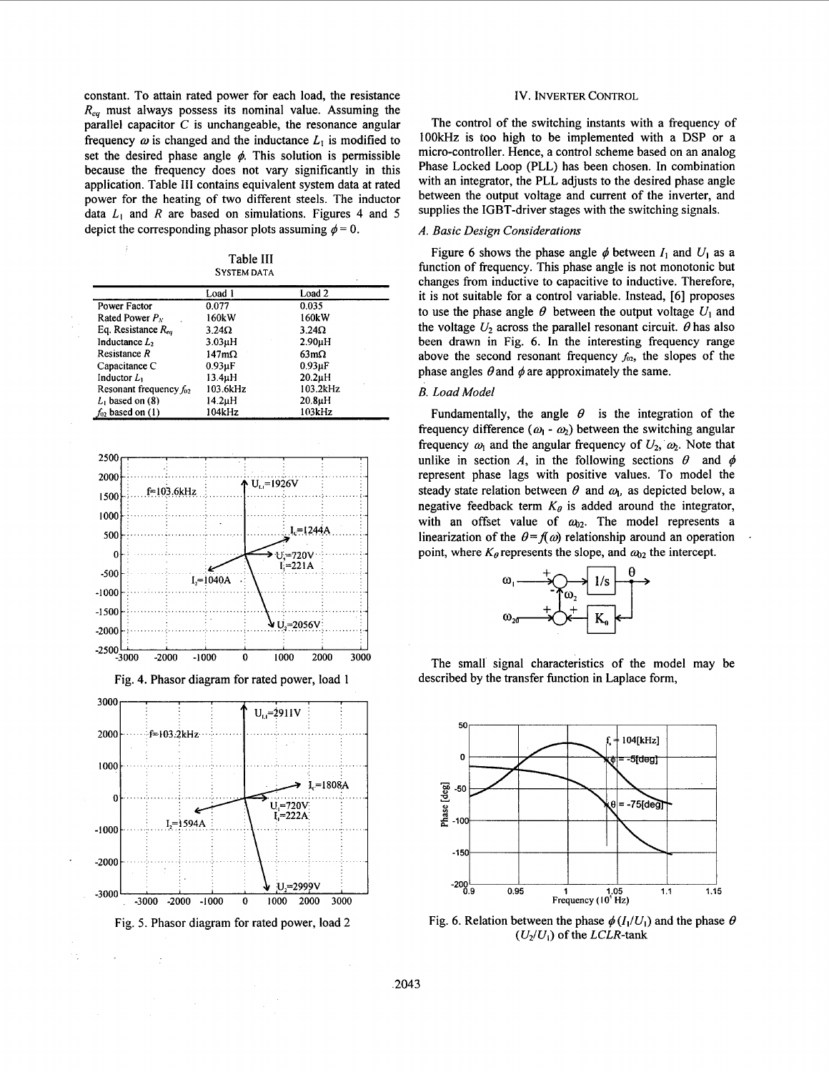<span id="page-4-0"></span>constant. To attain rated power for each load, the resistance *Re,* must always possess its nominal value. Assuming the parallel capacitor *C* is unchangeable, the resonance angular frequency  $\omega$  is changed and the inductance  $L_1$  is modified to set the desired phase angle  $\phi$ . This solution is permissible because the frequency does not vary significantly in this application. Table 111 contains equivalent system data at rated power for the heating of two different steels. The inductor data *LI* and *R* are based on simulations. Figures 4 and **5**  depict the corresponding phasor plots assuming  $\phi = 0$ .

Table 111 **SYSTEM DATA** 

|                             | Load 1       | Load 2              |
|-----------------------------|--------------|---------------------|
| Power Factor                | 0.077        | 0.035               |
| Rated Power $P_N$           | 160kW        | 160kW               |
| Eq. Resistance $R_{ea}$     | $3.24\Omega$ | $3.24\Omega$        |
| Inductance $L_2$            | $3.03\muH$   | 2.90 <sub>µ</sub> H |
| Resistance R                | $147m\Omega$ | $63m\Omega$         |
| Capacitance C               | $0.93\mu F$  | $0.93\mu F$         |
| Inductor $L_1$              | 13.4µH       | $20.2\mu H$         |
| Resonant frequency $f_{02}$ | 103.6kHz     | 103.2kHz            |
| $L_1$ based on (8)          | 14.2µH       | 20.8 <sub>µ</sub> H |
| $f_{02}$ based on (1)       | 104kHz       | 103kHz              |







Fig. **5.** Phasor diagram for rated power, load 2

## IV. **INVERTER CONTROL**

The control of the switching instants with a frequency of **IOOkHz** is too high to be implemented with a DSP or a micro-controller. Hence, a control scheme based on an analog Phase Locked Loop (PLL) has been chosen. In combination with an integrator, the PLL adjusts to the desired phase angle between the output voltage and current of the inverter, and supplies the IGBT-driver stages with the switching signals.

## *A. Basic Design Considerations*

Figure 6 shows the phase angle  $\phi$  between  $I_1$  and  $U_1$  as a function of frequency. This phase angle is not monotonic but changes from inductive to capacitive to inductive. Therefore, it is not suitable for a control variable. Instead, [6] proposes to use the phase angle  $\theta$  between the output voltage  $U_1$  and the voltage  $U_2$  across the parallel resonant circuit.  $\theta$  has also been drawn in Fig. 6. In the interesting frequency range above the second resonant frequency  $f_{02}$ , the slopes of the phase angles  $\theta$  and  $\phi$  are approximately the same.

## *B. Load Model*

Fundamentally, the angle  $\theta$  is the integration of the frequency difference  $(\omega_1 - \omega_2)$  between the switching angular frequency  $\omega_1$  and the angular frequency of  $U_2$ ,  $\omega_2$ . Note that unlike in section A, in the following sections  $\theta$  and  $\phi$ represent phase lags with positive values. To model the steady state relation between  $\theta$  and  $\omega$ <sub>1</sub>, as depicted below, a negative feedback term  $K_{\theta}$  is added around the integrator, with an offset value of  $\omega_{02}$ . The model represents a linearization of the  $\theta = f(\omega)$  relationship around an operation point, where  $K_{\theta}$  represents the slope, and  $\omega_{02}$  the intercept.



The small signal characteristics of the model may be described by the transfer function in Laplace form,



Fig. 6. Relation between the phase  $\phi(I_1/U_1)$  and the phase  $\theta$  $(U_2/U_1)$  of the *LCLR*-tank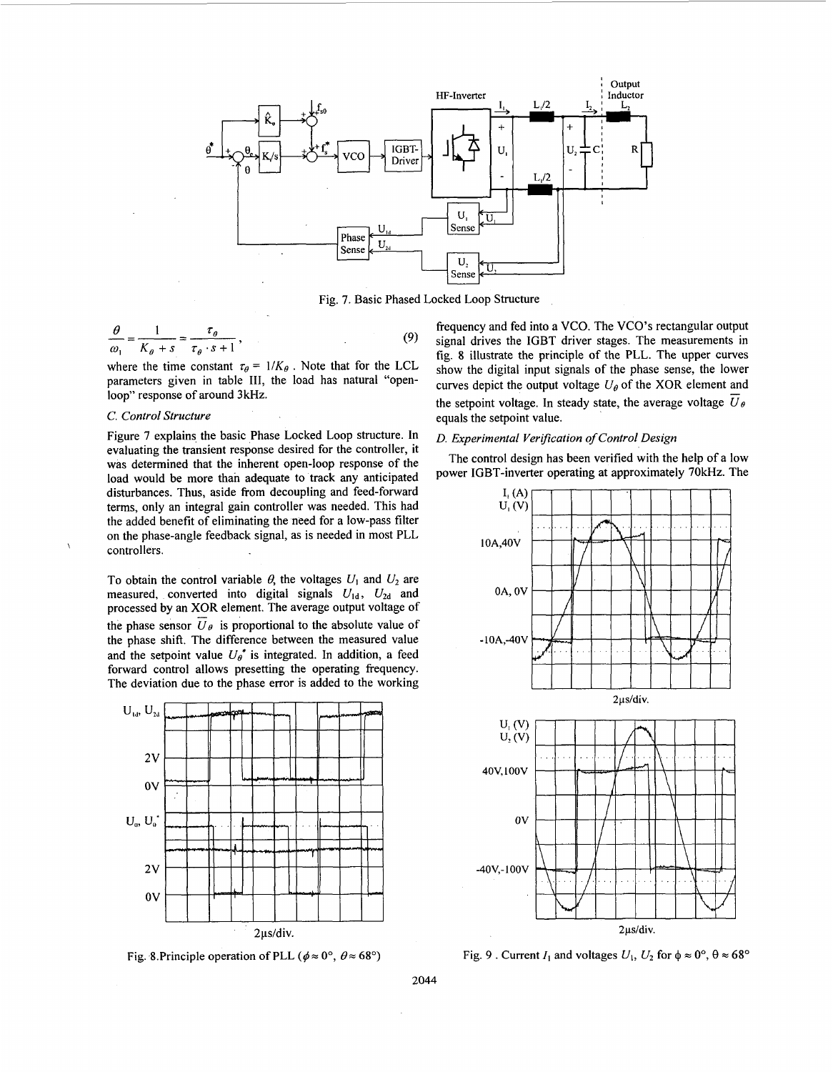

Fig. 7. Basic Phased Locked Loop Structure

$$
\frac{\theta}{\omega_1} = \frac{1}{K_\theta + s} = \frac{\tau_\theta}{\tau_\theta \cdot s + 1},\tag{9}
$$

where the time constant  $\tau_{\theta} = 1/K_{\theta}$ . Note that for the LCL loop" response of around 3kHz.

## *C. Control Structure*

Figure 7 explains the basic Phase Locked Loop structure. In evaluating the transient response desired for the controller, it was determined that the inherent open-loop response of the load would be more than adeauate to track any anticipated disturbances. Thus, aside from decoupling and feed-forward terms, only an integral gain controller was needed. This had the added benefit of eliminating the need for a low-pass filter on the phase-angle feedback signal, as is needed in most PLL controllers. \

To obtain the control variable  $\theta$ , the voltages  $U_1$  and  $U_2$  are measured, converted into digital signals  $U_{1d}$ ,  $U_{2d}$  and processed by an XOR element. The average output voltage of the phase sensor  $\overline{U}_{\theta}$  is proportional to the absolute value of the phase shift. The difference between the measured value and the setpoint value  $U_{\theta}^*$  is integrated. In addition, a feed forward control allows presetting the operating frequency. The deviation due to the phase error is added to the working



Fig. 8.Principle operation of PLL ( $\phi \approx 0^\circ$ ,  $\theta \approx 68^\circ$ )

frequency and fed into a VCO. The VCO's rectangular output signal drives the IGBT driver stages. The measurements in fig. 8 illustrate the principle of the PLL. The upper curves show the digital input signals of the phase sense, the lower the setpoint voltage. In steady state, the average voltage  $\overline{U}_{\theta}$ equals the setpoint value. parameters given in table III, the load has natural "open- curves depict the output voltage  $U_{\theta}$  of the XOR element and

## *D. Experimental Verification of Control Design*

The control design has been verified with the help of a low power IGBT-inverter operating at approximately 70kHz. The



Fig. 9 . Current  $I_1$  and voltages  $U_1$ ,  $U_2$  for  $\phi \approx 0^\circ$ ,  $\theta \approx 68^\circ$